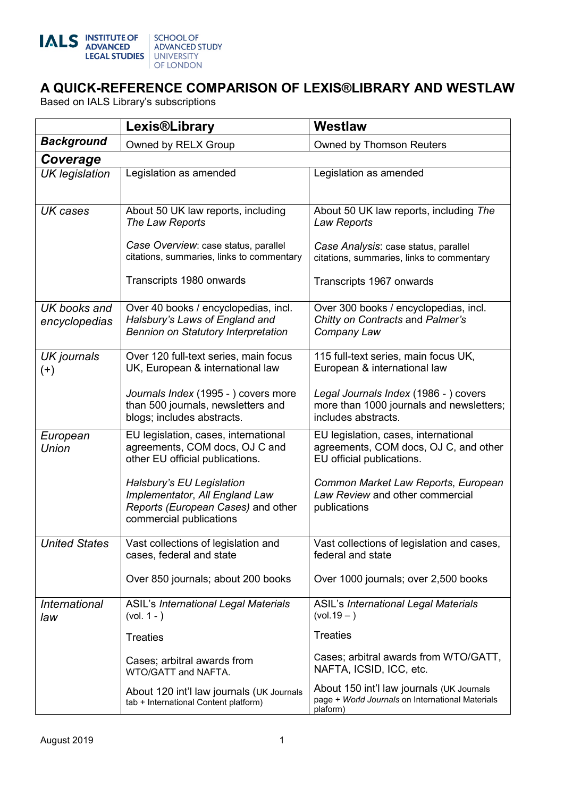

## **A QUICK-REFERENCE COMPARISON OF LEXIS®LIBRARY AND WESTLAW**

Based on IALS Library's subscriptions

|                               | <b>Lexis®Library</b>                                                                                                         | <b>Westlaw</b>                                                                                             |  |
|-------------------------------|------------------------------------------------------------------------------------------------------------------------------|------------------------------------------------------------------------------------------------------------|--|
| <b>Background</b>             | Owned by RELX Group                                                                                                          | Owned by Thomson Reuters                                                                                   |  |
| Coverage                      |                                                                                                                              |                                                                                                            |  |
| <b>UK legislation</b>         | Legislation as amended                                                                                                       | Legislation as amended                                                                                     |  |
| UK cases                      | About 50 UK law reports, including<br>The Law Reports                                                                        | About 50 UK law reports, including The<br>Law Reports                                                      |  |
|                               | Case Overview: case status, parallel<br>citations, summaries, links to commentary                                            | Case Analysis: case status, parallel<br>citations, summaries, links to commentary                          |  |
|                               | Transcripts 1980 onwards                                                                                                     | Transcripts 1967 onwards                                                                                   |  |
| UK books and<br>encyclopedias | Over 40 books / encyclopedias, incl.<br>Halsbury's Laws of England and<br>Bennion on Statutory Interpretation                | Over 300 books / encyclopedias, incl.<br>Chitty on Contracts and Palmer's<br>Company Law                   |  |
| UK journals<br>$^{(+)}$       | Over 120 full-text series, main focus<br>UK, European & international law                                                    | 115 full-text series, main focus UK,<br>European & international law                                       |  |
|                               | Journals Index (1995 - ) covers more<br>than 500 journals, newsletters and<br>blogs; includes abstracts.                     | Legal Journals Index (1986 - ) covers<br>more than 1000 journals and newsletters;<br>includes abstracts.   |  |
| European<br>Union             | EU legislation, cases, international<br>agreements, COM docs, OJ C and<br>other EU official publications.                    | EU legislation, cases, international<br>agreements, COM docs, OJ C, and other<br>EU official publications. |  |
|                               | Halsbury's EU Legislation<br>Implementator, All England Law<br>Reports (European Cases) and other<br>commercial publications | Common Market Law Reports, European<br>Law Review and other commercial<br>publications                     |  |
| <b>United States</b>          | Vast collections of legislation and<br>cases, federal and state                                                              | Vast collections of legislation and cases,<br>federal and state                                            |  |
|                               | Over 850 journals; about 200 books                                                                                           | Over 1000 journals; over 2,500 books                                                                       |  |
| <b>International</b><br>law   | ASIL's International Legal Materials<br>$(vol. 1 - )$                                                                        | <b>ASIL's International Legal Materials</b><br>$(vol.19 - )$                                               |  |
|                               | <b>Treaties</b>                                                                                                              | <b>Treaties</b>                                                                                            |  |
|                               | Cases; arbitral awards from<br>WTO/GATT and NAFTA.                                                                           | Cases; arbitral awards from WTO/GATT,<br>NAFTA, ICSID, ICC, etc.                                           |  |
|                               | About 120 int'l law journals (UK Journals<br>tab + International Content platform)                                           | About 150 int'l law journals (UK Journals<br>page + World Journals on International Materials<br>plaform)  |  |